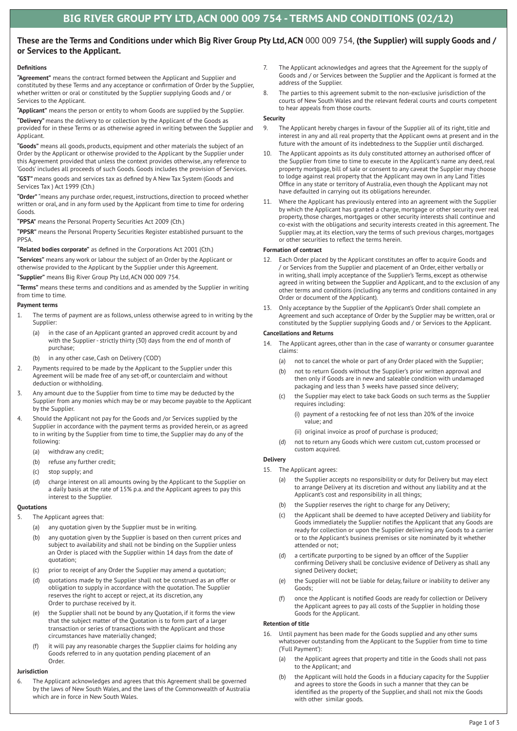# **These are the Terms and Conditions under which Big River Group Pty Ltd, ACN** 000 009 754, **(the Supplier) will supply Goods and / or Services to the Applicant.**

# **Definitions**

**"Agreement"** means the contract formed between the Applicant and Supplier and constituted by these Terms and any acceptance or confirmation of Order by the Supplier, whether written or oral or constituted by the Supplier supplying Goods and / or Services to the Applicant.

**"Applicant"** means the person or entity to whom Goods are supplied by the Supplier.

**"Delivery"** means the delivery to or collection by the Applicant of the Goods as provided for in these Terms or as otherwise agreed in writing between the Supplier and Applicant.

**"Goods"** means all goods, products, equipment and other materials the subject of an Order by the Applicant or otherwise provided to the Applicant by the Supplier under this Agreement provided that unless the context provides otherwise, any reference to 'Goods' includes all proceeds of such Goods. Goods includes the provision of Services.

**"GST"** means goods and services tax as defined by A New Tax System (Goods and Services Tax ) Act 1999 (Cth.)

**"Order"** "means any purchase order, request, instructions, direction to proceed whether written or oral, and in any form used by the Applicant from time to time for ordering Goods.

**"PPSA"** means the Personal Property Securities Act 2009 (Cth.)

**"PPSR"** means the Personal Property Securities Register established pursuant to the PPSA.

**"Related bodies corporate"** as defined in the Corporations Act 2001 (Cth.)

**"Services"** means any work or labour the subject of an Order by the Applicant or otherwise provided to the Applicant by the Supplier under this Agreement.

**"Supplier"** means Big River Group Pty Ltd, ACN 000 009 754.

**"Terms"** means these terms and conditions and as amended by the Supplier in writing from time to time.

### **Payment terms**

- 1. The terms of payment are as follows, unless otherwise agreed to in writing by the Supplier:
	- (a) in the case of an Applicant granted an approved credit account by and with the Supplier - strictly thirty (30) days from the end of month of purchase;
	- (b) in any other case, Cash on Delivery ('COD')
- 2. Payments required to be made by the Applicant to the Supplier under this Agreement will be made free of any set-off, or counterclaim and without deduction or withholding.
- 3. Any amount due to the Supplier from time to time may be deducted by the Supplier from any monies which may be or may become payable to the Applicant by the Supplier.
- Should the Applicant not pay for the Goods and /or Services supplied by the Supplier in accordance with the payment terms as provided herein, or as agreed to in writing by the Supplier from time to time, the Supplier may do any of the following:
	- (a) withdraw any credit;
	- (b) refuse any further credit;
	- (c) stop supply; and
	- (d) charge interest on all amounts owing by the Applicant to the Supplier on a daily basis at the rate of 15% p.a. and the Applicant agrees to pay this interest to the Supplier.

# **Quotations**

- 5. The Applicant agrees that:
	- (a) any quotation given by the Supplier must be in writing.
	- (b) any quotation given by the Supplier is based on then current prices and subject to availability and shall not be binding on the Supplier unless an Order is placed with the Supplier within 14 days from the date of quotation;
	- (c) prior to receipt of any Order the Supplier may amend a quotation;
	- (d) quotations made by the Supplier shall not be construed as an offer or obligation to supply in accordance with the quotation. The Supplier reserves the right to accept or reject, at its discretion, any Order to purchase received by it.
	- (e) the Supplier shall not be bound by any Quotation, if it forms the view that the subject matter of the Quotation is to form part of a larger transaction or series of transactions with the Applicant and those circumstances have materially changed;
	- (f) it will pay any reasonable charges the Supplier claims for holding any Goods referred to in any quotation pending placement of an Order.

### **Jurisdiction**

6. The Applicant acknowledges and agrees that this Agreement shall be governed by the laws of New South Wales, and the laws of the Commonwealth of Australia which are in force in New South Wales.

- 7. The Applicant acknowledges and agrees that the Agreement for the supply of Goods and / or Services between the Supplier and the Applicant is formed at the address of the Supplier.
- 8. The parties to this agreement submit to the non-exclusive jurisdiction of the courts of New South Wales and the relevant federal courts and courts competent to hear appeals from those courts.

#### **Security**

- 9. The Applicant hereby charges in favour of the Supplier all of its right, title and interest in any and all real property that the Applicant owns at present and in the future with the amount of its indebtedness to the Supplier until discharged.
- The Applicant appoints as its duly constituted attorney an authorised officer of the Supplier from time to time to execute in the Applicant's name any deed, real property mortgage, bill of sale or consent to any caveat the Supplier may choose to lodge against real property that the Applicant may own in any Land Titles Office in any state or territory of Australia, even though the Applicant may not have defaulted in carrying out its obligations hereunder.
- 11. Where the Applicant has previously entered into an agreement with the Supplier by which the Applicant has granted a charge, mortgage or other security over real property, those charges, mortgages or other security interests shall continue and co-exist with the obligations and security interests created in this agreement. The Supplier may, at its election, vary the terms of such previous charges, mortgages or other securities to reflect the terms herein.

#### **Formation of contract**

- 12. Each Order placed by the Applicant constitutes an offer to acquire Goods and / or Services from the Supplier and placement of an Order, either verbally or in writing, shall imply acceptance of the Supplier's Terms, except as otherwise agreed in writing between the Supplier and Applicant, and to the exclusion of any other terms and conditions (including any terms and conditions contained in any Order or document of the Applicant).
- 13. Only acceptance by the Supplier of the Applicant's Order shall complete an Agreement and such acceptance of Order by the Supplier may be written, oral or constituted by the Supplier supplying Goods and / or Services to the Applicant.

## **Cancellations and Returns**

- 14. The Applicant agrees, other than in the case of warranty or consumer guarantee claims:
	- (a) not to cancel the whole or part of any Order placed with the Supplier;
	- (b) not to return Goods without the Supplier's prior written approval and then only if Goods are in new and saleable condition with undamaged packaging and less than 3 weeks have passed since delivery;
	- (c) the Supplier may elect to take back Goods on such terms as the Supplier requires including:
		- (i) payment of a restocking fee of not less than 20% of the invoice value; and
		- (ii) original invoice as proof of purchase is produced;
	- (d) not to return any Goods which were custom cut, custom processed or custom acquired.

### **Delivery**

- 15. The Applicant agrees:
	- (a) the Supplier accepts no responsibility or duty for Delivery but may elect to arrange Delivery at its discretion and without any liability and at the Applicant's cost and responsibility in all things;
	- (b) the Supplier reserves the right to charge for any Delivery;
	- (c) the Applicant shall be deemed to have accepted Delivery and liability for Goods immediately the Supplier notifies the Applicant that any Goods are ready for collection or upon the Supplier delivering any Goods to a carrier or to the Applicant's business premises or site nominated by it whether attended or not;
	- (d) a certificate purporting to be signed by an officer of the Supplier confirming Delivery shall be conclusive evidence of Delivery as shall any signed Delivery docket;
	- (e) the Supplier will not be liable for delay, failure or inability to deliver any Goods;
	- (f) once the Applicant is notified Goods are ready for collection or Delivery the Applicant agrees to pay all costs of the Supplier in holding those Goods for the Applicant.

# **Retention of title**

- 16. Until payment has been made for the Goods supplied and any other sums whatsoever outstanding from the Applicant to the Supplier from time to time ('Full Payment'):
	- (a) the Applicant agrees that property and title in the Goods shall not pass to the Applicant; and
	- the Applicant will hold the Goods in a fiduciary capacity for the Supplier and agrees to store the Goods in such a manner that they can be identified as the property of the Supplier, and shall not mix the Goods with other similar goods.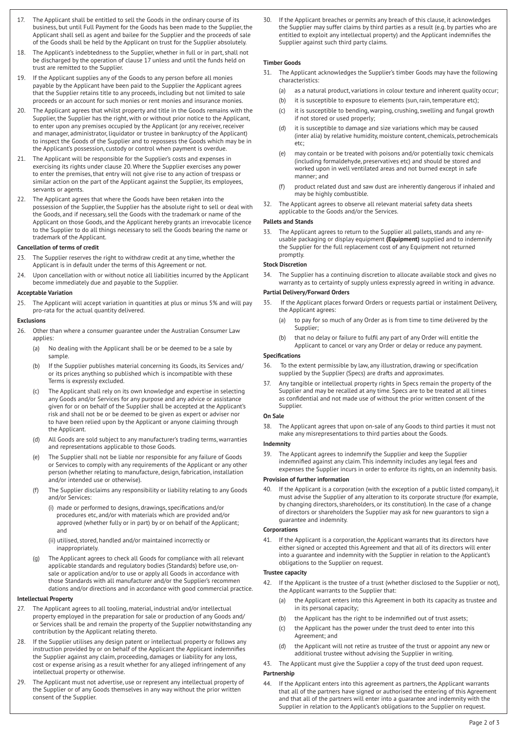- 17. The Applicant shall be entitled to sell the Goods in the ordinary course of its business, but until Full Payment for the Goods has been made to the Supplier, the Applicant shall sell as agent and bailee for the Supplier and the proceeds of sale of the Goods shall be held by the Applicant on trust for the Supplier absolutely.
- 18. The Applicant's indebtedness to the Supplier, whether in full or in part, shall not be discharged by the operation of clause 17 unless and until the funds held on trust are remitted to the Supplier.
- 19. If the Applicant supplies any of the Goods to any person before all monies payable by the Applicant have been paid to the Supplier the Applicant agrees that the Supplier retains title to any proceeds, including but not limited to sale proceeds or an account for such monies or rent monies and insurance monies.
- 20. The Applicant agrees that whilst property and title in the Goods remains with the Supplier, the Supplier has the right, with or without prior notice to the Applicant, to enter upon any premises occupied by the Applicant (or any receiver, receiver and manager, administrator, liquidator or trustee in bankruptcy of the Applicant) to inspect the Goods of the Supplier and to repossess the Goods which may be in the Applicant's possession, custody or control when payment is overdue.
- 21. The Applicant will be responsible for the Supplier's costs and expenses in exercising its rights under clause 20. Where the Supplier exercises any power to enter the premises, that entry will not give rise to any action of trespass or similar action on the part of the Applicant against the Supplier, its employees, servants or agents.
- 22. The Applicant agrees that where the Goods have been retaken into the possession of the Supplier, the Supplier has the absolute right to sell or deal with the Goods, and if necessary, sell the Goods with the trademark or name of the Applicant on those Goods, and the Applicant hereby grants an irrevocable licence to the Supplier to do all things necessary to sell the Goods bearing the name or trademark of the Applicant.

#### **Cancellation of terms of credit**

- 23. The Supplier reserves the right to withdraw credit at any time, whether the Applicant is in default under the terms of this Agreement or not.
- 24. Upon cancellation with or without notice all liabilities incurred by the Applicant become immediately due and payable to the Supplier.

### **Acceptable Variation**

25. The Applicant will accept variation in quantities at plus or minus 5% and will pay pro-rata for the actual quantity delivered.

#### **Exclusions**

- 26. Other than where a consumer guarantee under the Australian Consumer Law applies:
	- (a) No dealing with the Applicant shall be or be deemed to be a sale by sample.
	- (b) If the Supplier publishes material concerning its Goods, its Services and/ or its prices anything so published which is incompatible with these Terms is expressly excluded.
	- (c) The Applicant shall rely on its own knowledge and expertise in selecting any Goods and/or Services for any purpose and any advice or assistance given for or on behalf of the Supplier shall be accepted at the Applicant's risk and shall not be or be deemed to be given as expert or adviser nor to have been relied upon by the Applicant or anyone claiming through the Applicant.
	- (d) All Goods are sold subject to any manufacturer's trading terms, warranties and representations applicable to those Goods.
	- (e) The Supplier shall not be liable nor responsible for any failure of Goods or Services to comply with any requirements of the Applicant or any other person (whether relating to manufacture, design, fabrication, installation and/or intended use or otherwise).
	- (f) The Supplier disclaims any responsibility or liability relating to any Goods and/or Services:
		- (i) made or performed to designs, drawings, specifications and/or procedures etc, and/or with materials which are provided and/or approved (whether fully or in part) by or on behalf of the Applicant; and
		- (ii) utilised, stored, handled and/or maintained incorrectly or inappropriately.
	- (g) The Applicant agrees to check all Goods for compliance with all relevant applicable standards and regulatory bodies (Standards) before use, onsale or application and/or to use or apply all Goods in accordance with those Standards with all manufacturer and/or the Supplier's recommen dations and/or directions and in accordance with good commercial practice.

# **Intellectual Property**

- 27. The Applicant agrees to all tooling, material, industrial and/or intellectual property employed in the preparation for sale or production of any Goods and/ or Services shall be and remain the property of the Supplier notwithstanding any contribution by the Applicant relating thereto.
- 28. If the Supplier utilises any design patent or intellectual property or follows any instruction provided by or on behalf of the Applicant the Applicant indemnifies the Supplier against any claim, proceeding, damages or liability for any loss, cost or expense arising as a result whether for any alleged infringement of any intellectual property or otherwise.
- 29. The Applicant must not advertise, use or represent any intellectual property of the Supplier or of any Goods themselves in any way without the prior written consent of the Supplier.

30. If the Applicant breaches or permits any breach of this clause, it acknowledges the Supplier may suffer claims by third parties as a result (e.g. by parties who are entitled to exploit any intellectual property) and the Applicant indemnifies the Supplier against such third party claims.

### **Timber Goods**

- 31. The Applicant acknowledges the Supplier's timber Goods may have the following characteristics:
- (a) as a natural product, variations in colour texture and inherent quality occur;
	- (b) it is susceptible to exposure to elements (sun, rain, temperature etc);
	- (c) it is susceptible to bending, warping, crushing, swelling and fungal growth if not stored or used properly;
	- (d) it is susceptible to damage and size variations which may be caused (inter alia) by relative humidity, moisture content, chemicals, petrochemicals etc;
	- (e) may contain or be treated with poisons and/or potentially toxic chemicals (including formaldehyde, preservatives etc) and should be stored and worked upon in well ventilated areas and not burned except in safe manner; and
	- (f) product related dust and saw dust are inherently dangerous if inhaled and may be highly combustible.
- 32. The Applicant agrees to observe all relevant material safety data sheets applicable to the Goods and/or the Services.

# **Pallets and Stands**

The Applicant agrees to return to the Supplier all pallets, stands and any reusable packaging or display equipment **(Equipment)** supplied and to indemnify the Supplier for the full replacement cost of any Equipment not returned promptly.

### **Stock Discretion**

The Supplier has a continuing discretion to allocate available stock and gives no warranty as to certainty of supply unless expressly agreed in writing in advance.

# **Partial Delivery/Forward Orders**

- 35. If the Applicant places forward Orders or requests partial or instalment Delivery, the Applicant agrees:
	- (a) to pay for so much of any Order as is from time to time delivered by the Supplier;
	- (b) that no delay or failure to fulfil any part of any Order will entitle the Applicant to cancel or vary any Order or delay or reduce any payment.

# **Specifications**

- 36. To the extent permissible by law, any illustration, drawing or specification supplied by the Supplier (Specs) are drafts and approximates.
- 37. Any tangible or intellectual property rights in Specs remain the property of the Supplier and may be recalled at any time. Specs are to be treated at all times as confidential and not made use of without the prior written consent of the Supplier.

#### **On Sale**

38. The Applicant agrees that upon on-sale of any Goods to third parties it must not make any misrepresentations to third parties about the Goods.

#### **Indemnity**

39. The Applicant agrees to indemnify the Supplier and keep the Supplier indemnified against any claim. This indemnity includes any legal fees and expenses the Supplier incurs in order to enforce its rights, on an indemnity basis.

#### **Provision of further information**

40. If the Applicant is a corporation (with the exception of a public listed company), it must advise the Supplier of any alteration to its corporate structure (for example, by changing directors, shareholders, or its constitution). In the case of a change of directors or shareholders the Supplier may ask for new guarantors to sign a guarantee and indemnity.

#### **Corporations**

41. If the Applicant is a corporation, the Applicant warrants that its directors have either signed or accepted this Agreement and that all of its directors will enter into a guarantee and indemnity with the Supplier in relation to the Applicant's obligations to the Supplier on request.

#### **Trustee capacity**

- 42. If the Applicant is the trustee of a trust (whether disclosed to the Supplier or not), the Applicant warrants to the Supplier that:
	- (a) the Applicant enters into this Agreement in both its capacity as trustee and in its personal capacity;
	- (b) the Applicant has the right to be indemnified out of trust assets;
	- (c) the Applicant has the power under the trust deed to enter into this Agreement; and
	- (d) the Applicant will not retire as trustee of the trust or appoint any new or additional trustee without advising the Supplier in writing.
- 43. The Applicant must give the Supplier a copy of the trust deed upon request.

## **Partnership**

44. If the Applicant enters into this agreement as partners, the Applicant warrants that all of the partners have signed or authorised the entering of this Agreement and that all of the partners will enter into a guarantee and indemnity with the Supplier in relation to the Applicant's obligations to the Supplier on request.